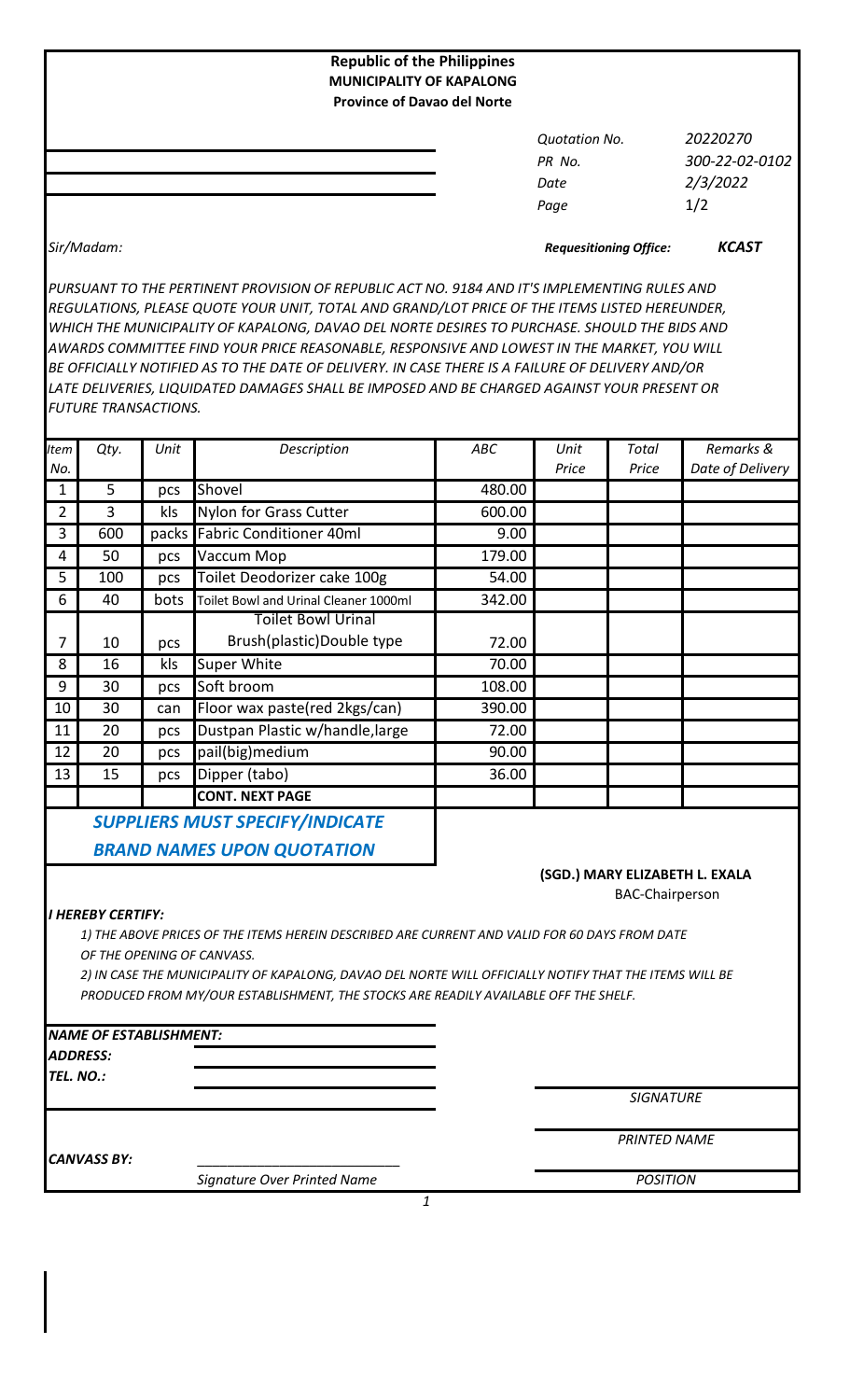| <b>Republic of the Philippines</b><br><b>MUNICIPALITY OF KAPALONG</b><br><b>Province of Davao del Norte</b> |                      |                |  |
|-------------------------------------------------------------------------------------------------------------|----------------------|----------------|--|
|                                                                                                             | <b>Quotation No.</b> | 20220270       |  |
|                                                                                                             | PR No.               | 300-22-02-0102 |  |
|                                                                                                             | Date                 | 2/3/2022       |  |
|                                                                                                             | Page                 | 1/2            |  |
|                                                                                                             |                      |                |  |

*Sir/Madam: KCAST Requesitioning Office:*

*PURSUANT TO THE PERTINENT PROVISION OF REPUBLIC ACT NO. 9184 AND IT'S IMPLEMENTING RULES AND REGULATIONS, PLEASE QUOTE YOUR UNIT, TOTAL AND GRAND/LOT PRICE OF THE ITEMS LISTED HEREUNDER, WHICH THE MUNICIPALITY OF KAPALONG, DAVAO DEL NORTE DESIRES TO PURCHASE. SHOULD THE BIDS AND AWARDS COMMITTEE FIND YOUR PRICE REASONABLE, RESPONSIVE AND LOWEST IN THE MARKET, YOU WILL BE OFFICIALLY NOTIFIED AS TO THE DATE OF DELIVERY. IN CASE THERE IS A FAILURE OF DELIVERY AND/OR LATE DELIVERIES, LIQUIDATED DAMAGES SHALL BE IMPOSED AND BE CHARGED AGAINST YOUR PRESENT OR FUTURE TRANSACTIONS.*

| <b>Item</b>                            | Qty. | Unit  | Description                           | ABC    | Unit  | Total | Remarks &        |
|----------------------------------------|------|-------|---------------------------------------|--------|-------|-------|------------------|
| No.                                    |      |       |                                       |        | Price | Price | Date of Delivery |
| 1                                      | 5    | pcs   | Shovel                                | 480.00 |       |       |                  |
| 2                                      | 3    | kls   | Nylon for Grass Cutter                | 600.00 |       |       |                  |
| 3                                      | 600  | packs | <b>Fabric Conditioner 40ml</b>        | 9.00   |       |       |                  |
| 4                                      | 50   | pcs   | Vaccum Mop                            | 179.00 |       |       |                  |
| 5                                      | 100  | pcs   | Toilet Deodorizer cake 100g           | 54.00  |       |       |                  |
| 6                                      | 40   | bots  | Toilet Bowl and Urinal Cleaner 1000ml | 342.00 |       |       |                  |
|                                        |      |       | <b>Toilet Bowl Urinal</b>             |        |       |       |                  |
| 7                                      | 10   | pcs   | Brush(plastic)Double type             | 72.00  |       |       |                  |
| 8                                      | 16   | kls   | Super White                           | 70.00  |       |       |                  |
| 9                                      | 30   | pcs   | Soft broom                            | 108.00 |       |       |                  |
| 10                                     | 30   | can   | Floor wax paste(red 2kgs/can)         | 390.00 |       |       |                  |
| 11                                     | 20   | pcs   | Dustpan Plastic w/handle, large       | 72.00  |       |       |                  |
| 12                                     | 20   | pcs   | pail(big)medium                       | 90.00  |       |       |                  |
| 13                                     | 15   | pcs   | Dipper (tabo)                         | 36.00  |       |       |                  |
|                                        |      |       | <b>CONT. NEXT PAGE</b>                |        |       |       |                  |
| <b>SUPPLIERS MUST SPECIFY/INDICATE</b> |      |       |                                       |        |       |       |                  |

 *BRAND NAMES UPON QUOTATION*

### **(SGD.) MARY ELIZABETH L. EXALA**

BAC-Chairperson

## *I HEREBY CERTIFY:*

*1) THE ABOVE PRICES OF THE ITEMS HEREIN DESCRIBED ARE CURRENT AND VALID FOR 60 DAYS FROM DATE OF THE OPENING OF CANVASS.*

*2) IN CASE THE MUNICIPALITY OF KAPALONG, DAVAO DEL NORTE WILL OFFICIALLY NOTIFY THAT THE ITEMS WILL BE PRODUCED FROM MY/OUR ESTABLISHMENT, THE STOCKS ARE READILY AVAILABLE OFF THE SHELF.*

*1*

# *NAME OF ESTABLISHMENT:*

*ADDRESS:*

*TEL. NO.:*

*SIGNATURE*

CANVASS BY:

*Signature Over Printed Name*

*PRINTED NAME*

*POSITION*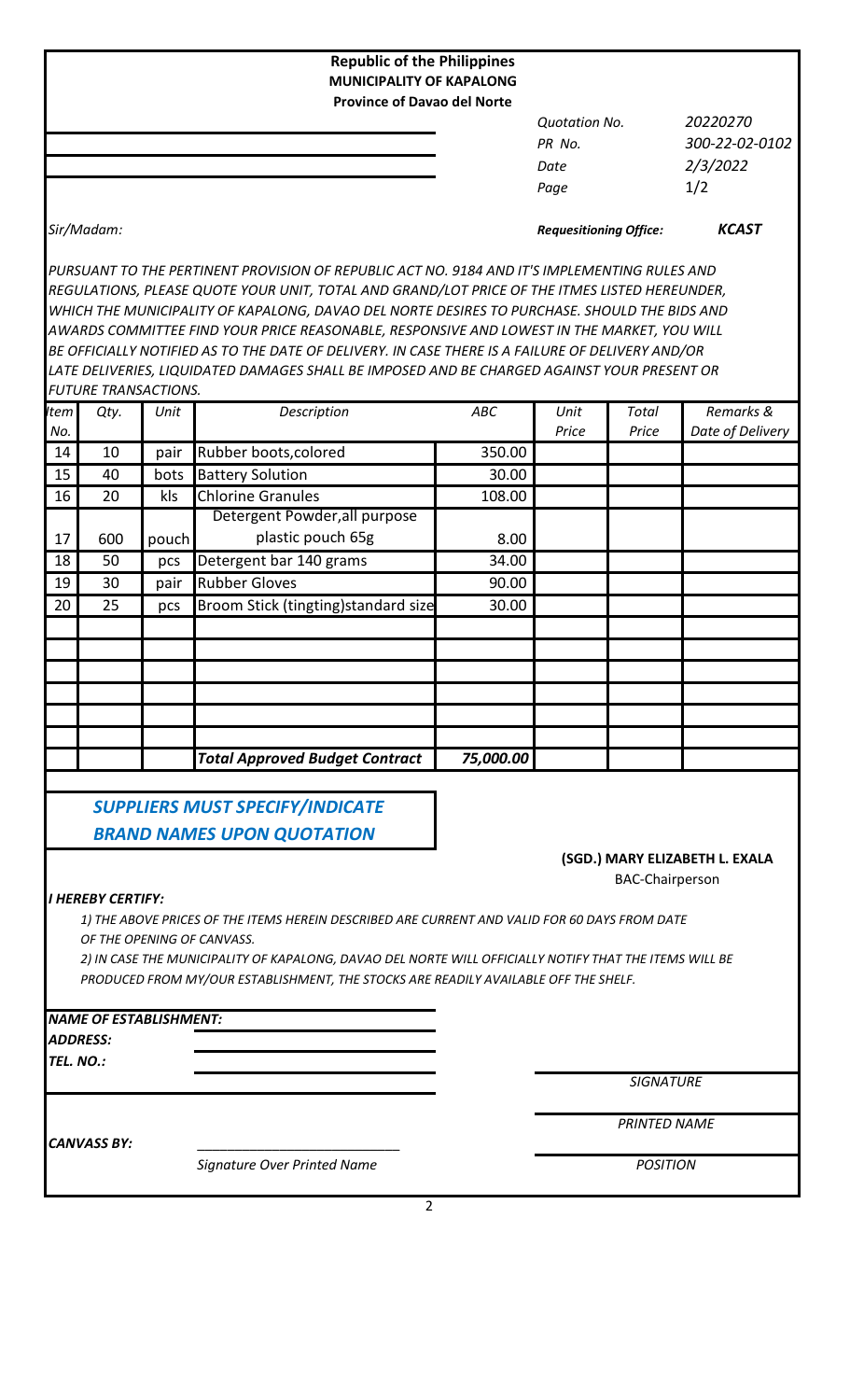| <b>Republic of the Philippines</b><br><b>MUNICIPALITY OF KAPALONG</b><br><b>Province of Davao del Norte</b>                                                                                   |                               |                |
|-----------------------------------------------------------------------------------------------------------------------------------------------------------------------------------------------|-------------------------------|----------------|
|                                                                                                                                                                                               | <b>Quotation No.</b>          | 20220270       |
|                                                                                                                                                                                               | PR No.                        | 300-22-02-0102 |
|                                                                                                                                                                                               | Date                          | 2/3/2022       |
|                                                                                                                                                                                               | Page                          | 1/2            |
| Sir/Madam:                                                                                                                                                                                    | <b>Requesitioning Office:</b> | <b>KCAST</b>   |
| PURSUANT TO THE PERTINENT PROVISION OF REPUBLIC ACT NO. 9184 AND IT'S IMPLEMENTING RULES AND<br>REGULATIONS, PLEASE QUOTE YOUR UNIT, TOTAL AND GRAND/LOT PRICE OF THE ITMES LISTED HEREUNDER, |                               |                |

*WHICH THE MUNICIPALITY OF KAPALONG, DAVAO DEL NORTE DESIRES TO PURCHASE. SHOULD THE BIDS AND AWARDS COMMITTEE FIND YOUR PRICE REASONABLE, RESPONSIVE AND LOWEST IN THE MARKET, YOU WILL BE OFFICIALLY NOTIFIED AS TO THE DATE OF DELIVERY. IN CASE THERE IS A FAILURE OF DELIVERY AND/OR LATE DELIVERIES, LIQUIDATED DAMAGES SHALL BE IMPOSED AND BE CHARGED AGAINST YOUR PRESENT OR FUTURE TRANSACTIONS.*

| <b>tem</b> | Qty. | Unit  | Description                           | ABC       | Unit  | Total | Remarks &        |
|------------|------|-------|---------------------------------------|-----------|-------|-------|------------------|
| No.        |      |       |                                       |           | Price | Price | Date of Delivery |
| 14         | 10   | pair  | Rubber boots, colored                 | 350.00    |       |       |                  |
| 15         | 40   | bots  | <b>Battery Solution</b>               | 30.00     |       |       |                  |
| 16         | 20   | kls   | <b>Chlorine Granules</b>              | 108.00    |       |       |                  |
|            |      |       | Detergent Powder, all purpose         |           |       |       |                  |
| 17         | 600  | pouch | plastic pouch 65g                     | 8.00      |       |       |                  |
| 18         | 50   | pcs   | Detergent bar 140 grams               | 34.00     |       |       |                  |
| 19         | 30   | pair  | <b>Rubber Gloves</b>                  | 90.00     |       |       |                  |
| 20         | 25   | pcs   | Broom Stick (tingting) standard size  | 30.00     |       |       |                  |
|            |      |       |                                       |           |       |       |                  |
|            |      |       |                                       |           |       |       |                  |
|            |      |       |                                       |           |       |       |                  |
|            |      |       |                                       |           |       |       |                  |
|            |      |       |                                       |           |       |       |                  |
|            |      |       |                                       |           |       |       |                  |
|            |      |       | <b>Total Approved Budget Contract</b> | 75,000.00 |       |       |                  |

 *SUPPLIERS MUST SPECIFY/INDICATE BRAND NAMES UPON QUOTATION*

# **(SGD.) MARY ELIZABETH L. EXALA**

BAC-Chairperson

# *I HEREBY CERTIFY:*

*1) THE ABOVE PRICES OF THE ITEMS HEREIN DESCRIBED ARE CURRENT AND VALID FOR 60 DAYS FROM DATE OF THE OPENING OF CANVASS.*

*2) IN CASE THE MUNICIPALITY OF KAPALONG, DAVAO DEL NORTE WILL OFFICIALLY NOTIFY THAT THE ITEMS WILL BE PRODUCED FROM MY/OUR ESTABLISHMENT, THE STOCKS ARE READILY AVAILABLE OFF THE SHELF.*

### *NAME OF ESTABLISHMENT:*

*ADDRESS:*

*TEL. NO.:*

*SIGNATURE*

*PRINTED NAME*

CANVASS BY:

*Signature Over Printed Name*

*POSITION*